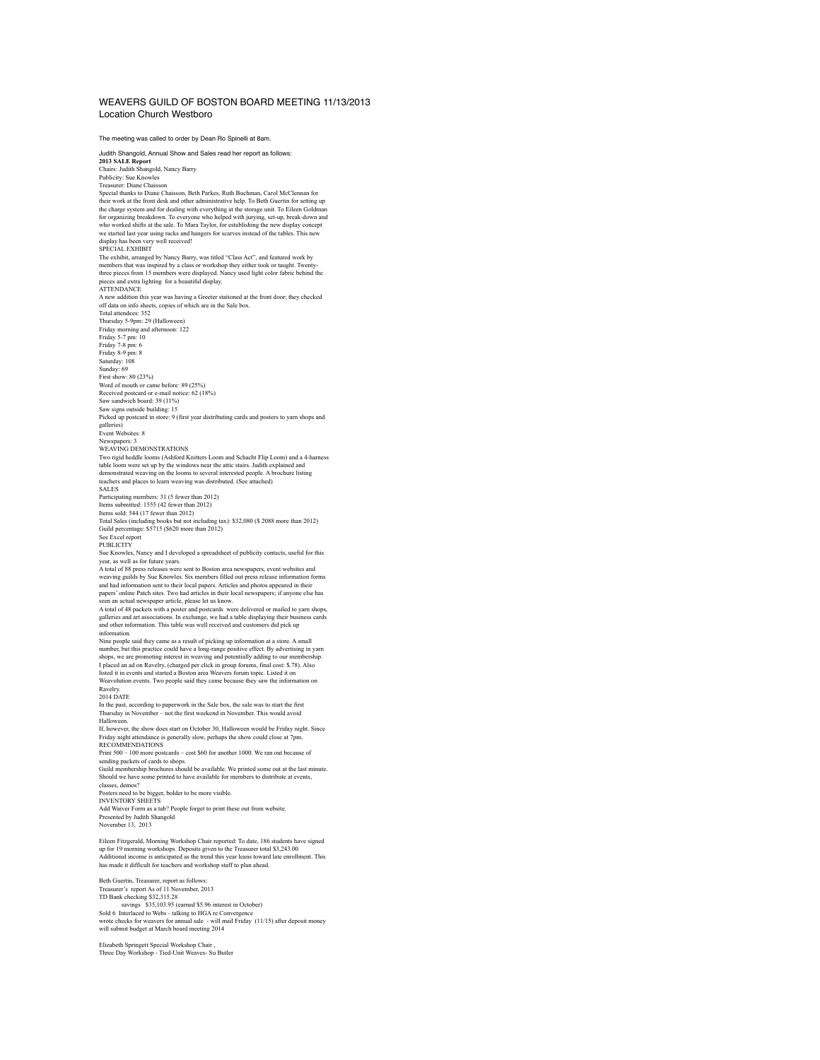## WEAVERS GUILD OF BOSTON BOARD MEETING 11/13/2013 Location Church Westboro

The meeting was called to order by Dean Ro Spinelli at 8am. Judith Shangold, Annual Show and Sales read her report as follows: **2013 SALE Report** Chairs: Judith Shangold, Nancy Barry Publicity: Sue Knowles Treasurer: Diane Chaisson Special thanks to Diane Chaisson, Beth Parkes, Ruth Buchman, Carol McClennan for<br>their work at the front desk and other administrative help. To Beth Guertin for setting up<br>the charge system and for dealing with everything for organizing breakdown. To everyone who helped with jurying, set-up, break-down and<br>who worked shifts at the sale. To Mara Taylor, for establishing the new display concept<br>we started last year using racks and hangers for display has been very well received!<br>SPECIAL EXHIBIT SPECIAL EXHIBIT<br>The exhibit, arranged by Nancy Barry, was titled "Class Act", and featured work by<br>The exhibit, arranged by Nancy Bars or workshop they either took or taught. Twenty-<br>three pieces from 15 members were displ A new addition this year was having a Greeter stationed at the front door; they checked off data on info sheets, copies of which are in the Sale box. Total attendees: 352 Thursday 5-9pm: 29 (Halloween) Friday morning and afternoon: 122 Friday 5-7 pm: 10 Friday 7-8 pm: 6 Friday 8-9 pm: 8 Saturday: 108 Sunday: 69 First show: 80 (23%) Word of mouth or came before: 89 (25%) Received postcard or e-mail notice: 62 (18%) Saw sandwich board: 39 (11%) Saw signs outside building: 15 Picked up postcard in store: 9 (first year distributing cards and posters to yarn shops and galleries) Event Websites: 8 Newspapers: 3 WEAVING DEMONSTRATIONS Two rigid heddle looms (Ashford Knitters Loom and Schacht Flip Loom) and a 4-harness table loom were set up by the windows near the attic stairs. Judith explained and<br>demonstrated weaving on the looms to several interested people. A brochure listing<br>teachers and places to learn weaving was distributed. (Se SALES Participating members: 31 (5 fewer than 2012) Items submitted: 1555 (42 fewer than 2012) Items sold: 544 (17 fewer than 2012) Total Sales (including books but not including tax): \$32,080 (\$ 2088 more than 2012) Guild percentage: \$5715 (\$620 more than 2012) See Excel report PUBLICITY Sue Knowles, Nancy and I developed a spreadsheet of publicity contacts, useful for this year, as well as for future years. A total of 88 press releases were sent to Boston area newspapers, event websites and weaving guilds by Sue Knowles. Six members filled out press release information forms and had information sent to their local papers. Articles and photos appeared in their<br>papers' online Patch sites. Two had articles in their local newspapers; if anyone else has<br>seen an actual newspaper article, please let galleries and art associations. In exchange, we had a table displaying their business cards and other information. This table was well received and customers did pick up information. Nine people said they came as a result of picking up information at a store. A small number, but this practice could have a long-range positive effect. By advertising in yarn<br>shops, we are promoting interest in weaving and potentially adding to our membership.<br>I placed an ad on Ravelry, (charged per click Ravelry. 2014 DATE In the past, according to paperwork in the Sale box, the sale was to start the first Thursday in November – not the first weekend in November. This would avoid Halloween. If, however, the show does start on October 30, Halloween would be Friday night. Since Friday night attendance is generally slow, perhaps the show could close at 7pm.<br>RECOMMEND ATIONS RECOMMENDATIONS<br>Print 500 – 100 more postcards – cost \$60 for another 1000. We ran out because of<br>sending packets of cards to shops.<br>Guidl membership brochures should be available. We printed some out at the last minute.<br>S classes, demos? Posters need to be bigger, bolder to be more visible. INVENTORY SHEETS Add Waiver Form as a tab? People forget to print these out from website. Presented by Judith Shangold November 13, 2013 Eileen Fitzgerald, Morning Workshop Chair reported: To date, 186 students have signed<br>up for 19 morning workshops. Deposits given to the Treasurer total \$3,243.00<br>Additional income is anticipated as the trend this year lea

Beth Guertin, Treasurer, report as follows: Treasurer's report As of 11 November, 2013<br>TD Bank checking \$32,315.28<br>Savak checking \$33,103.28<br>Savaking \$33,103.29<br>Savaking to HCA re Convergence<br>Write checks for weavers for ramual sale - will mail Friday (11/15) after

Elizabeth Springett Special Workshop Chair , Three Day Workshop - Tied-Unit Weaves- Su Butler